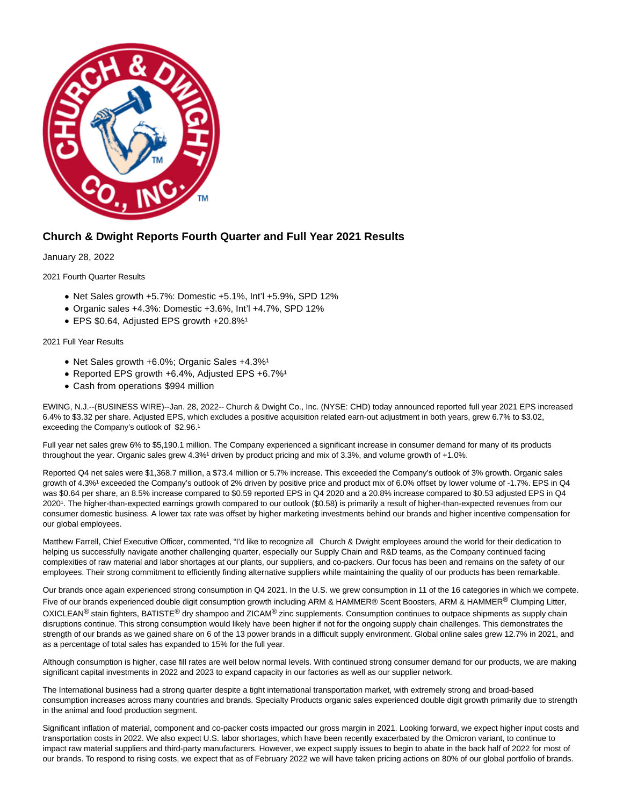

# **Church & Dwight Reports Fourth Quarter and Full Year 2021 Results**

January 28, 2022

2021 Fourth Quarter Results

- Net Sales growth +5.7%: Domestic +5.1%, Int'l +5.9%, SPD 12%
- Organic sales +4.3%: Domestic +3.6%, Int'l +4.7%, SPD 12%
- EPS \$0.64, Adjusted EPS growth +20.8%<sup>1</sup>

2021 Full Year Results

- $\bullet$  Net Sales growth +6.0%; Organic Sales +4.3%<sup>1</sup>
- $\bullet$  Reported EPS growth +6.4%, Adjusted EPS +6.7%<sup>1</sup>
- Cash from operations \$994 million

EWING, N.J.--(BUSINESS WIRE)--Jan. 28, 2022-- Church & Dwight Co., Inc. (NYSE: CHD) today announced reported full year 2021 EPS increased 6.4% to \$3.32 per share. Adjusted EPS, which excludes a positive acquisition related earn-out adjustment in both years, grew 6.7% to \$3.02, exceeding the Company's outlook of \$2.96.<sup>1</sup>

Full year net sales grew 6% to \$5,190.1 million. The Company experienced a significant increase in consumer demand for many of its products throughout the year. Organic sales grew 4.3%<sup>1</sup> driven by product pricing and mix of 3.3%, and volume growth of +1.0%.

Reported Q4 net sales were \$1,368.7 million, a \$73.4 million or 5.7% increase. This exceeded the Company's outlook of 3% growth. Organic sales growth of 4.3%<sup>1</sup> exceeded the Company's outlook of 2% driven by positive price and product mix of 6.0% offset by lower volume of -1.7%. EPS in Q4 was \$0.64 per share, an 8.5% increase compared to \$0.59 reported EPS in Q4 2020 and a 20.8% increase compared to \$0.53 adjusted EPS in Q4 2020<sup>1</sup>. The higher-than-expected earnings growth compared to our outlook (\$0.58) is primarily a result of higher-than-expected revenues from our consumer domestic business. A lower tax rate was offset by higher marketing investments behind our brands and higher incentive compensation for our global employees.

Matthew Farrell, Chief Executive Officer, commented, "I'd like to recognize all Church & Dwight employees around the world for their dedication to helping us successfully navigate another challenging quarter, especially our Supply Chain and R&D teams, as the Company continued facing complexities of raw material and labor shortages at our plants, our suppliers, and co-packers. Our focus has been and remains on the safety of our employees. Their strong commitment to efficiently finding alternative suppliers while maintaining the quality of our products has been remarkable.

Our brands once again experienced strong consumption in Q4 2021. In the U.S. we grew consumption in 11 of the 16 categories in which we compete. Five of our brands experienced double digit consumption growth including ARM & HAMMER® Scent Boosters, ARM & HAMMER<sup>®</sup> Clumping Litter, OXICLEAN<sup>®</sup> stain fighters, BATISTE<sup>®</sup> dry shampoo and ZICAM<sup>®</sup> zinc supplements. Consumption continues to outpace shipments as supply chain disruptions continue. This strong consumption would likely have been higher if not for the ongoing supply chain challenges. This demonstrates the strength of our brands as we gained share on 6 of the 13 power brands in a difficult supply environment. Global online sales grew 12.7% in 2021, and as a percentage of total sales has expanded to 15% for the full year.

Although consumption is higher, case fill rates are well below normal levels. With continued strong consumer demand for our products, we are making significant capital investments in 2022 and 2023 to expand capacity in our factories as well as our supplier network.

The International business had a strong quarter despite a tight international transportation market, with extremely strong and broad-based consumption increases across many countries and brands. Specialty Products organic sales experienced double digit growth primarily due to strength in the animal and food production segment.

Significant inflation of material, component and co-packer costs impacted our gross margin in 2021. Looking forward, we expect higher input costs and transportation costs in 2022. We also expect U.S. labor shortages, which have been recently exacerbated by the Omicron variant, to continue to impact raw material suppliers and third-party manufacturers. However, we expect supply issues to begin to abate in the back half of 2022 for most of our brands. To respond to rising costs, we expect that as of February 2022 we will have taken pricing actions on 80% of our global portfolio of brands.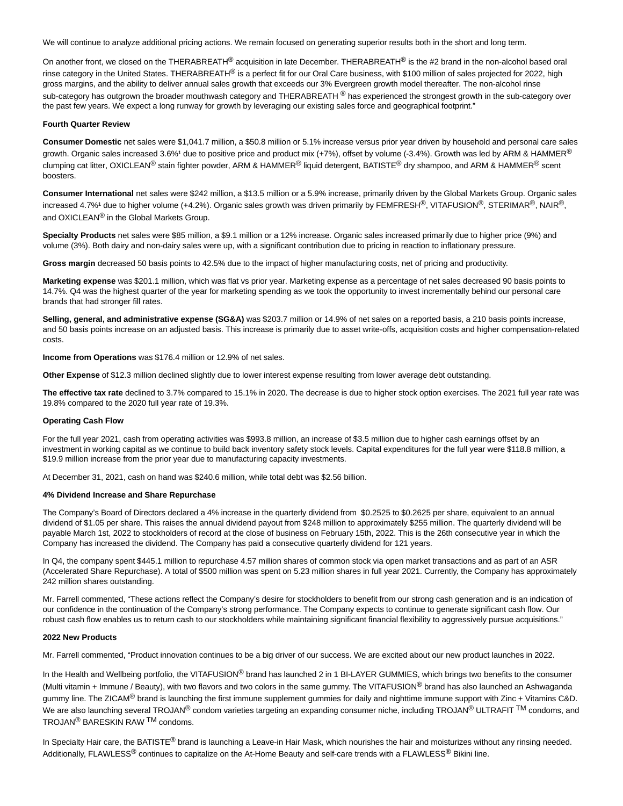We will continue to analyze additional pricing actions. We remain focused on generating superior results both in the short and long term.

On another front, we closed on the THERABREATH® acquisition in late December. THERABREATH® is the #2 brand in the non-alcohol based oral rinse category in the United States. THERABREATH® is a perfect fit for our Oral Care business, with \$100 million of sales projected for 2022, high gross margins, and the ability to deliver annual sales growth that exceeds our 3% Evergreen growth model thereafter. The non-alcohol rinse sub-category has outgrown the broader mouthwash category and THERABREATH ® has experienced the strongest growth in the sub-category over the past few years. We expect a long runway for growth by leveraging our existing sales force and geographical footprint."

## **Fourth Quarter Review**

**Consumer Domestic** net sales were \$1,041.7 million, a \$50.8 million or 5.1% increase versus prior year driven by household and personal care sales growth. Organic sales increased 3.6%<sup>1</sup> due to positive price and product mix (+7%), offset by volume (-3.4%). Growth was led by ARM & HAMMER<sup>®</sup> clumping cat litter, OXICLEAN<sup>®</sup> stain fighter powder, ARM & HAMMER<sup>®</sup> liquid detergent, BATISTE<sup>®</sup> dry shampoo, and ARM & HAMMER<sup>®</sup> scent boosters.

**Consumer International** net sales were \$242 million, a \$13.5 million or a 5.9% increase, primarily driven by the Global Markets Group. Organic sales increased 4.7%<sup>1</sup> due to higher volume (+4.2%). Organic sales growth was driven primarily by FEMFRESH®, VITAFUSION®, STERIMAR®, NAIR®, and OXICLEAN<sup>®</sup> in the Global Markets Group.

**Specialty Products** net sales were \$85 million, a \$9.1 million or a 12% increase. Organic sales increased primarily due to higher price (9%) and volume (3%). Both dairy and non-dairy sales were up, with a significant contribution due to pricing in reaction to inflationary pressure.

**Gross margin** decreased 50 basis points to 42.5% due to the impact of higher manufacturing costs, net of pricing and productivity.

**Marketing expense** was \$201.1 million, which was flat vs prior year. Marketing expense as a percentage of net sales decreased 90 basis points to 14.7%. Q4 was the highest quarter of the year for marketing spending as we took the opportunity to invest incrementally behind our personal care brands that had stronger fill rates.

**Selling, general, and administrative expense (SG&A)** was \$203.7 million or 14.9% of net sales on a reported basis, a 210 basis points increase, and 50 basis points increase on an adjusted basis. This increase is primarily due to asset write-offs, acquisition costs and higher compensation-related costs.

**Income from Operations** was \$176.4 million or 12.9% of net sales.

**Other Expense** of \$12.3 million declined slightly due to lower interest expense resulting from lower average debt outstanding.

**The effective tax rate** declined to 3.7% compared to 15.1% in 2020. The decrease is due to higher stock option exercises. The 2021 full year rate was 19.8% compared to the 2020 full year rate of 19.3%.

#### **Operating Cash Flow**

For the full year 2021, cash from operating activities was \$993.8 million, an increase of \$3.5 million due to higher cash earnings offset by an investment in working capital as we continue to build back inventory safety stock levels. Capital expenditures for the full year were \$118.8 million, a \$19.9 million increase from the prior year due to manufacturing capacity investments.

At December 31, 2021, cash on hand was \$240.6 million, while total debt was \$2.56 billion.

#### **4% Dividend Increase and Share Repurchase**

The Company's Board of Directors declared a 4% increase in the quarterly dividend from \$0.2525 to \$0.2625 per share, equivalent to an annual dividend of \$1.05 per share. This raises the annual dividend payout from \$248 million to approximately \$255 million. The quarterly dividend will be payable March 1st, 2022 to stockholders of record at the close of business on February 15th, 2022. This is the 26th consecutive year in which the Company has increased the dividend. The Company has paid a consecutive quarterly dividend for 121 years.

In Q4, the company spent \$445.1 million to repurchase 4.57 million shares of common stock via open market transactions and as part of an ASR (Accelerated Share Repurchase). A total of \$500 million was spent on 5.23 million shares in full year 2021. Currently, the Company has approximately 242 million shares outstanding.

Mr. Farrell commented, "These actions reflect the Company's desire for stockholders to benefit from our strong cash generation and is an indication of our confidence in the continuation of the Company's strong performance. The Company expects to continue to generate significant cash flow. Our robust cash flow enables us to return cash to our stockholders while maintaining significant financial flexibility to aggressively pursue acquisitions."

## **2022 New Products**

Mr. Farrell commented, "Product innovation continues to be a big driver of our success. We are excited about our new product launches in 2022.

In the Health and Wellbeing portfolio, the VITAFUSION® brand has launched 2 in 1 BI-LAYER GUMMIES, which brings two benefits to the consumer (Multi vitamin + Immune / Beauty), with two flavors and two colors in the same gummy. The VITAFUSION® brand has also launched an Ashwaganda gummy line. The ZICAM<sup>®</sup> brand is launching the first immune supplement gummies for daily and nighttime immune support with Zinc + Vitamins C&D. We are also launching several TROJAN<sup>®</sup> condom varieties targeting an expanding consumer niche, including TROJAN<sup>®</sup> ULTRAFIT <sup>TM</sup> condoms, and TROJAN® BARESKIN RAW TM condoms.

In Specialty Hair care, the BATISTE<sup>®</sup> brand is launching a Leave-in Hair Mask, which nourishes the hair and moisturizes without any rinsing needed. Additionally, FLAWLESS<sup>®</sup> continues to capitalize on the At-Home Beauty and self-care trends with a FLAWLESS<sup>®</sup> Bikini line.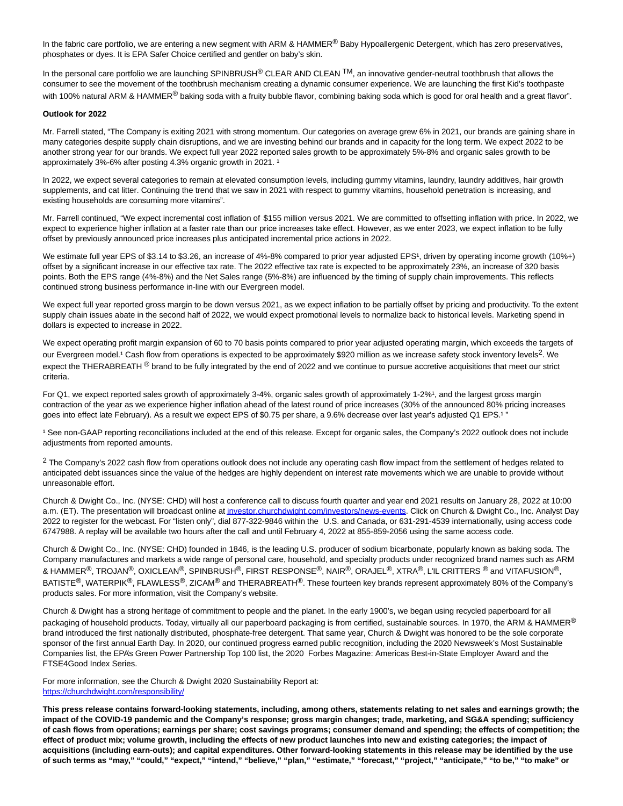In the fabric care portfolio, we are entering a new segment with ARM & HAMMER® Baby Hypoallergenic Detergent, which has zero preservatives, phosphates or dyes. It is EPA Safer Choice certified and gentler on baby's skin.

In the personal care portfolio we are launching SPINBRUSH<sup>®</sup> CLEAR AND CLEAN  $TM$ , an innovative gender-neutral toothbrush that allows the consumer to see the movement of the toothbrush mechanism creating a dynamic consumer experience. We are launching the first Kid's toothpaste with 100% natural ARM & HAMMER® baking soda with a fruity bubble flavor, combining baking soda which is good for oral health and a great flavor".

### **Outlook for 2022**

Mr. Farrell stated, "The Company is exiting 2021 with strong momentum. Our categories on average grew 6% in 2021, our brands are gaining share in many categories despite supply chain disruptions, and we are investing behind our brands and in capacity for the long term. We expect 2022 to be another strong year for our brands. We expect full year 2022 reported sales growth to be approximately 5%-8% and organic sales growth to be approximately 3%-6% after posting 4.3% organic growth in 2021.<sup>1</sup>

In 2022, we expect several categories to remain at elevated consumption levels, including gummy vitamins, laundry, laundry additives, hair growth supplements, and cat litter. Continuing the trend that we saw in 2021 with respect to gummy vitamins, household penetration is increasing, and existing households are consuming more vitamins".

Mr. Farrell continued, "We expect incremental cost inflation of \$155 million versus 2021. We are committed to offsetting inflation with price. In 2022, we expect to experience higher inflation at a faster rate than our price increases take effect. However, as we enter 2023, we expect inflation to be fully offset by previously announced price increases plus anticipated incremental price actions in 2022.

We estimate full year EPS of \$3.14 to \$3.26, an increase of 4%-8% compared to prior year adjusted EPS<sup>1</sup>, driven by operating income growth (10%+) offset by a significant increase in our effective tax rate. The 2022 effective tax rate is expected to be approximately 23%, an increase of 320 basis points. Both the EPS range (4%-8%) and the Net Sales range (5%-8%) are influenced by the timing of supply chain improvements. This reflects continued strong business performance in-line with our Evergreen model.

We expect full year reported gross margin to be down versus 2021, as we expect inflation to be partially offset by pricing and productivity. To the extent supply chain issues abate in the second half of 2022, we would expect promotional levels to normalize back to historical levels. Marketing spend in dollars is expected to increase in 2022.

We expect operating profit margin expansion of 60 to 70 basis points compared to prior year adjusted operating margin, which exceeds the targets of our Evergreen model.<sup>1</sup> Cash flow from operations is expected to be approximately \$920 million as we increase safety stock inventory levels<sup>2</sup>. We expect the THERABREATH <sup>®</sup> brand to be fully integrated by the end of 2022 and we continue to pursue accretive acquisitions that meet our strict criteria.

For Q1, we expect reported sales growth of approximately 3-4%, organic sales growth of approximately 1-2%1, and the largest gross margin contraction of the year as we experience higher inflation ahead of the latest round of price increases (30% of the announced 80% pricing increases goes into effect late February). As a result we expect EPS of \$0.75 per share, a 9.6% decrease over last year's adjusted Q1 EPS.<sup>1</sup>

<sup>1</sup> See non-GAAP reporting reconciliations included at the end of this release. Except for organic sales, the Company's 2022 outlook does not include adjustments from reported amounts.

<sup>2</sup> The Company's 2022 cash flow from operations outlook does not include any operating cash flow impact from the settlement of hedges related to anticipated debt issuances since the value of the hedges are highly dependent on interest rate movements which we are unable to provide without unreasonable effort.

Church & Dwight Co., Inc. (NYSE: CHD) will host a conference call to discuss fourth quarter and year end 2021 results on January 28, 2022 at 10:00 a.m. (ET). The presentation will broadcast online a[t investor.churchdwight.com/investors/news-events.](https://cts.businesswire.com/ct/CT?id=smartlink&url=http%3A%2F%2Finvestor.churchdwight.com%2Finvestors%2Fnews-events&esheet=52570376&newsitemid=20220128005104&lan=en-US&anchor=investor.churchdwight.com%2Finvestors%2Fnews-events&index=1&md5=f9e3382b77a59d0e042e37f585d40cbb) Click on Church & Dwight Co., Inc. Analyst Day 2022 to register for the webcast. For "listen only", dial 877-322-9846 within the U.S. and Canada, or 631-291-4539 internationally, using access code 6747988. A replay will be available two hours after the call and until February 4, 2022 at 855-859-2056 using the same access code.

Church & Dwight Co., Inc. (NYSE: CHD) founded in 1846, is the leading U.S. producer of sodium bicarbonate, popularly known as baking soda. The Company manufactures and markets a wide range of personal care, household, and specialty products under recognized brand names such as ARM & HAMMER®, TROJAN®, OXICLEAN®, SPINBRUSH®, FIRST RESPONSE®, NAIR®, ORAJEL®, XTRA®, L'IL CRITTERS ® and VITAFUSION®, BATISTE<sup>®</sup>, WATERPIK<sup>®</sup>, FLAWLESS<sup>®</sup>, ZICAM<sup>®</sup> and THERABREATH<sup>®</sup>. These fourteen key brands represent approximately 80% of the Company's products sales. For more information, visit the Company's website.

Church & Dwight has a strong heritage of commitment to people and the planet. In the early 1900's, we began using recycled paperboard for all packaging of household products. Today, virtually all our paperboard packaging is from certified, sustainable sources. In 1970, the ARM & HAMMER® brand introduced the first nationally distributed, phosphate-free detergent. That same year, Church & Dwight was honored to be the sole corporate sponsor of the first annual Earth Day. In 2020, our continued progress earned public recognition, including the 2020 Newsweek's Most Sustainable Companies list, the EPA's Green Power Partnership Top 100 list, the 2020 Forbes Magazine: Americas Best-in-State Employer Award and the FTSE4Good Index Series.

For more information, see the Church & Dwight 2020 Sustainability Report at: [https://churchdwight.com/responsibility/](https://cts.businesswire.com/ct/CT?id=smartlink&url=https%3A%2F%2Fchurchdwight.com%2Fresponsibility%2F&esheet=52570376&newsitemid=20220128005104&lan=en-US&anchor=https%3A%2F%2Fchurchdwight.com%2Fresponsibility%2F&index=2&md5=354d413d78a4b73b32fecd0c6f294236)

**This press release contains forward-looking statements, including, among others, statements relating to net sales and earnings growth; the impact of the COVID-19 pandemic and the Company's response; gross margin changes; trade, marketing, and SG&A spending; sufficiency of cash flows from operations; earnings per share; cost savings programs; consumer demand and spending; the effects of competition; the effect of product mix; volume growth, including the effects of new product launches into new and existing categories; the impact of acquisitions (including earn-outs); and capital expenditures. Other forward-looking statements in this release may be identified by the use of such terms as "may," "could," "expect," "intend," "believe," "plan," "estimate," "forecast," "project," "anticipate," "to be," "to make" or**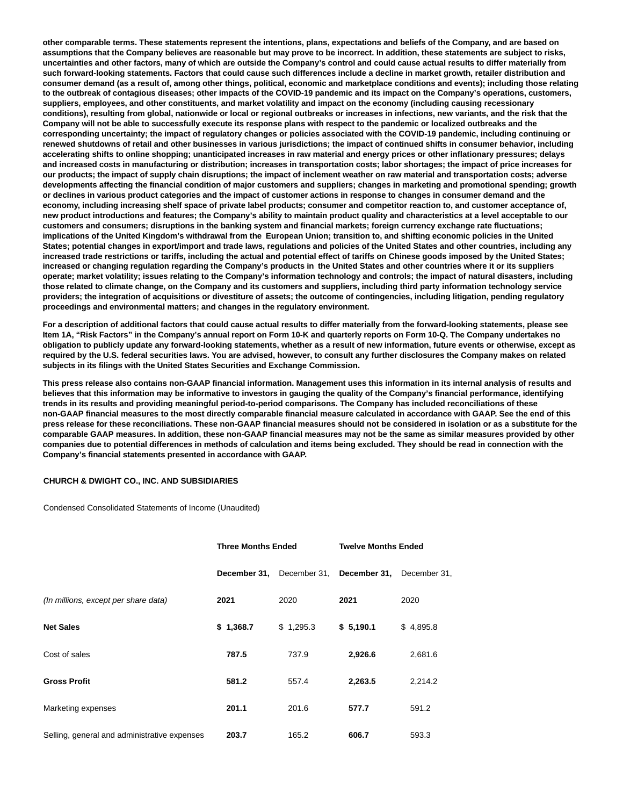**other comparable terms. These statements represent the intentions, plans, expectations and beliefs of the Company, and are based on assumptions that the Company believes are reasonable but may prove to be incorrect. In addition, these statements are subject to risks, uncertainties and other factors, many of which are outside the Company's control and could cause actual results to differ materially from such forward-looking statements. Factors that could cause such differences include a decline in market growth, retailer distribution and consumer demand (as a result of, among other things, political, economic and marketplace conditions and events); including those relating to the outbreak of contagious diseases; other impacts of the COVID-19 pandemic and its impact on the Company's operations, customers, suppliers, employees, and other constituents, and market volatility and impact on the economy (including causing recessionary conditions), resulting from global, nationwide or local or regional outbreaks or increases in infections, new variants, and the risk that the Company will not be able to successfully execute its response plans with respect to the pandemic or localized outbreaks and the corresponding uncertainty; the impact of regulatory changes or policies associated with the COVID-19 pandemic, including continuing or renewed shutdowns of retail and other businesses in various jurisdictions; the impact of continued shifts in consumer behavior, including accelerating shifts to online shopping; unanticipated increases in raw material and energy prices or other inflationary pressures; delays and increased costs in manufacturing or distribution; increases in transportation costs; labor shortages; the impact of price increases for our products; the impact of supply chain disruptions; the impact of inclement weather on raw material and transportation costs; adverse developments affecting the financial condition of major customers and suppliers; changes in marketing and promotional spending; growth or declines in various product categories and the impact of customer actions in response to changes in consumer demand and the economy, including increasing shelf space of private label products; consumer and competitor reaction to, and customer acceptance of, new product introductions and features; the Company's ability to maintain product quality and characteristics at a level acceptable to our customers and consumers; disruptions in the banking system and financial markets; foreign currency exchange rate fluctuations; implications of the United Kingdom's withdrawal from the European Union; transition to, and shifting economic policies in the United States; potential changes in export/import and trade laws, regulations and policies of the United States and other countries, including any increased trade restrictions or tariffs, including the actual and potential effect of tariffs on Chinese goods imposed by the United States; increased or changing regulation regarding the Company's products in the United States and other countries where it or its suppliers operate; market volatility; issues relating to the Company's information technology and controls; the impact of natural disasters, including those related to climate change, on the Company and its customers and suppliers, including third party information technology service providers; the integration of acquisitions or divestiture of assets; the outcome of contingencies, including litigation, pending regulatory proceedings and environmental matters; and changes in the regulatory environment.**

**For a description of additional factors that could cause actual results to differ materially from the forward-looking statements, please see Item 1A, "Risk Factors" in the Company's annual report on Form 10-K and quarterly reports on Form 10-Q. The Company undertakes no obligation to publicly update any forward-looking statements, whether as a result of new information, future events or otherwise, except as required by the U.S. federal securities laws. You are advised, however, to consult any further disclosures the Company makes on related subjects in its filings with the United States Securities and Exchange Commission.**

**This press release also contains non-GAAP financial information. Management uses this information in its internal analysis of results and believes that this information may be informative to investors in gauging the quality of the Company's financial performance, identifying trends in its results and providing meaningful period-to-period comparisons. The Company has included reconciliations of these non-GAAP financial measures to the most directly comparable financial measure calculated in accordance with GAAP. See the end of this press release for these reconciliations. These non-GAAP financial measures should not be considered in isolation or as a substitute for the comparable GAAP measures. In addition, these non-GAAP financial measures may not be the same as similar measures provided by other companies due to potential differences in methods of calculation and items being excluded. They should be read in connection with the Company's financial statements presented in accordance with GAAP.**

### **CHURCH & DWIGHT CO., INC. AND SUBSIDIARIES**

Condensed Consolidated Statements of Income (Unaudited)

|                                              | <b>Three Months Ended</b> |           | <b>Twelve Months Ended</b>                          |           |  |  |
|----------------------------------------------|---------------------------|-----------|-----------------------------------------------------|-----------|--|--|
|                                              |                           |           | December 31, December 31, December 31, December 31, |           |  |  |
| (In millions, except per share data)         | 2021                      | 2020      | 2021                                                | 2020      |  |  |
| <b>Net Sales</b>                             | \$1,368.7                 | \$1,295.3 | \$5,190.1                                           | \$4,895.8 |  |  |
| Cost of sales                                | 787.5                     | 737.9     | 2,926.6                                             | 2,681.6   |  |  |
| <b>Gross Profit</b>                          | 581.2                     | 557.4     | 2,263.5                                             | 2,214.2   |  |  |
| Marketing expenses                           | 201.1                     | 201.6     | 577.7                                               | 591.2     |  |  |
| Selling, general and administrative expenses | 203.7                     | 165.2     | 606.7                                               | 593.3     |  |  |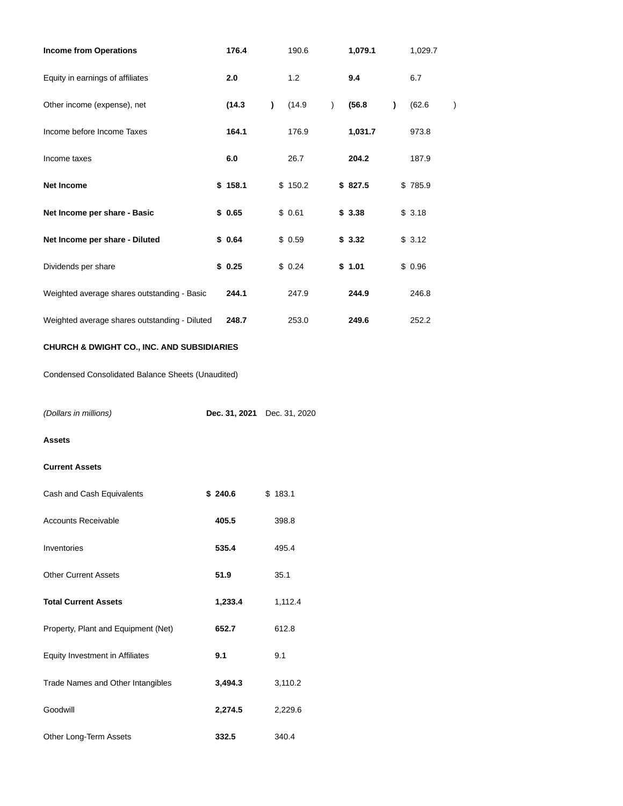| <b>Income from Operations</b>                 | 176.4   |   | 190.6   |               | 1,079.1 |   | 1,029.7 |  |
|-----------------------------------------------|---------|---|---------|---------------|---------|---|---------|--|
| Equity in earnings of affiliates              | 2.0     |   | 1.2     |               | 9.4     |   | 6.7     |  |
| Other income (expense), net                   | (14.3)  | 1 | (14.9)  | $\mathcal{E}$ | (56.8)  | ) | (62.6)  |  |
| Income before Income Taxes                    | 164.1   |   | 176.9   |               | 1,031.7 |   | 973.8   |  |
| Income taxes                                  | 6.0     |   | 26.7    |               | 204.2   |   | 187.9   |  |
| Net Income                                    | \$158.1 |   | \$150.2 |               | \$827.5 |   | \$785.9 |  |
| Net Income per share - Basic                  | \$0.65  |   | \$0.61  |               | \$3.38  |   | \$3.18  |  |
| Net Income per share - Diluted                | \$0.64  |   | \$0.59  |               | \$3.32  |   | \$3.12  |  |
| Dividends per share                           | \$0.25  |   | \$0.24  |               | \$1.01  |   | \$0.96  |  |
| Weighted average shares outstanding - Basic   | 244.1   |   | 247.9   |               | 244.9   |   | 246.8   |  |
| Weighted average shares outstanding - Diluted | 248.7   |   | 253.0   |               | 249.6   |   | 252.2   |  |
|                                               |         |   |         |               |         |   |         |  |

# **CHURCH & DWIGHT CO., INC. AND SUBSIDIARIES**

Condensed Consolidated Balance Sheets (Unaudited)

| (Dollars in millions)                  | Dec. 31, 2021 Dec. 31, 2020 |         |
|----------------------------------------|-----------------------------|---------|
| <b>Assets</b>                          |                             |         |
| <b>Current Assets</b>                  |                             |         |
| Cash and Cash Equivalents              | \$240.6                     | \$183.1 |
| <b>Accounts Receivable</b>             | 405.5                       | 398.8   |
| Inventories                            | 535.4                       | 495.4   |
| <b>Other Current Assets</b>            | 51.9                        | 35.1    |
| <b>Total Current Assets</b>            | 1,233.4                     | 1,112.4 |
| Property, Plant and Equipment (Net)    | 652.7                       | 612.8   |
| <b>Equity Investment in Affiliates</b> | 9.1                         | 9.1     |
| Trade Names and Other Intangibles      | 3,494.3                     | 3,110.2 |
| Goodwill                               | 2,274.5                     | 2,229.6 |
| Other Long-Term Assets                 | 332.5                       | 340.4   |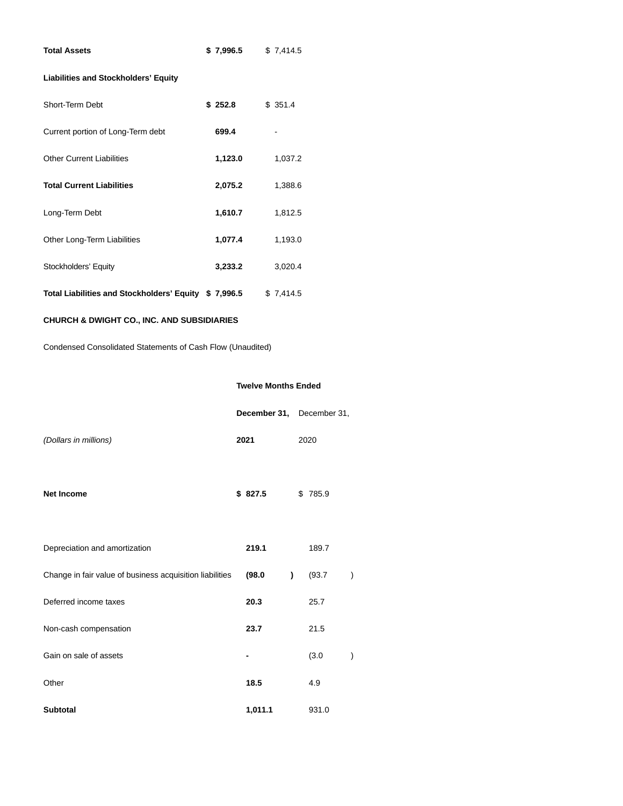| <b>Total Assets</b>                                  | \$7,996.5 | \$7,414.5 |
|------------------------------------------------------|-----------|-----------|
| <b>Liabilities and Stockholders' Equity</b>          |           |           |
| Short-Term Debt                                      | \$252.8   | \$351.4   |
| Current portion of Long-Term debt                    | 699.4     |           |
| <b>Other Current Liabilities</b>                     | 1,123.0   | 1,037.2   |
| <b>Total Current Liabilities</b>                     | 2,075.2   | 1,388.6   |
| Long-Term Debt                                       | 1,610.7   | 1,812.5   |
| Other Long-Term Liabilities                          | 1,077.4   | 1,193.0   |
| Stockholders' Equity                                 | 3,233.2   | 3,020.4   |
| Total Liabilities and Stockholders' Equity \$7,996.5 |           | \$7,414.5 |

# **CHURCH & DWIGHT CO., INC. AND SUBSIDIARIES**

Condensed Consolidated Statements of Cash Flow (Unaudited)

## **Twelve Months Ended**

|                                                          | December 31, December 31, |           |         |               |
|----------------------------------------------------------|---------------------------|-----------|---------|---------------|
| (Dollars in millions)                                    | 2021                      |           | 2020    |               |
| <b>Net Income</b>                                        | \$827.5                   |           | \$785.9 |               |
| Depreciation and amortization                            | 219.1                     |           | 189.7   |               |
| Change in fair value of business acquisition liabilities | (98.0)                    | $\lambda$ | (93.7)  | $\lambda$     |
| Deferred income taxes                                    | 20.3                      |           | 25.7    |               |
| Non-cash compensation                                    | 23.7                      |           | 21.5    |               |
| Gain on sale of assets                                   |                           |           | (3.0)   | $\mathcal{E}$ |
| Other                                                    | 18.5                      |           | 4.9     |               |
| <b>Subtotal</b>                                          | 1,011.1                   |           | 931.0   |               |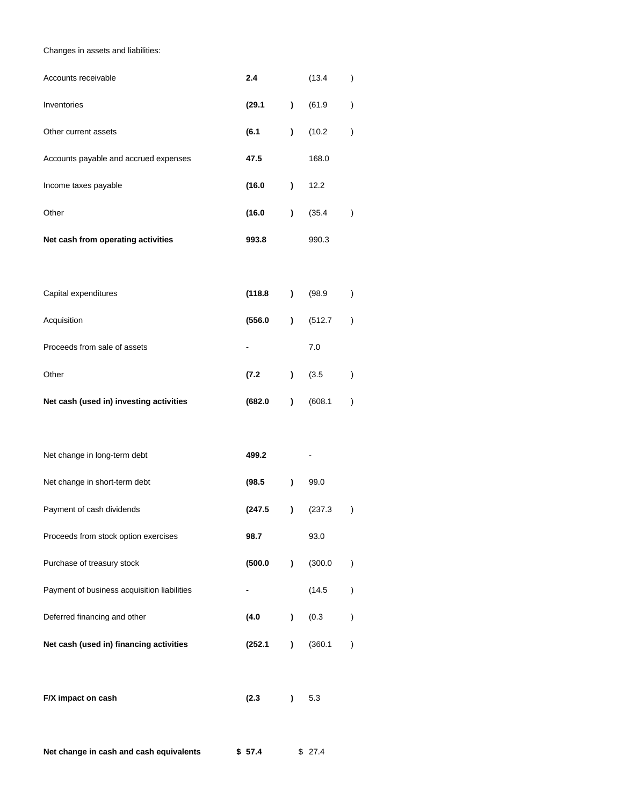Changes in assets and liabilities:

| Accounts receivable                         | 2.4     |               | (13.4)  | $\mathcal{E}$ |
|---------------------------------------------|---------|---------------|---------|---------------|
| Inventories                                 | (29.1   | $\lambda$     | (61.9)  | $\mathcal{E}$ |
| Other current assets                        | (6.1)   | $\mathcal{L}$ | (10.2)  | $\mathcal{E}$ |
| Accounts payable and accrued expenses       | 47.5    |               | 168.0   |               |
| Income taxes payable                        | (16.0)  | $\mathcal{L}$ | 12.2    |               |
| Other                                       | (16.0)  | $\mathcal{L}$ | (35.4)  | $\mathcal{E}$ |
| Net cash from operating activities          | 993.8   |               | 990.3   |               |
|                                             |         |               |         |               |
| Capital expenditures                        | (118.8) | $\mathcal{L}$ | (98.9)  | $\mathcal{E}$ |
| Acquisition                                 | (556.0) | $\lambda$     | (512.7) | $\mathcal{E}$ |
| Proceeds from sale of assets                | -       |               | 7.0     |               |
| Other                                       | (7.2)   | $\mathcal{L}$ | (3.5)   | $\mathcal{E}$ |
| Net cash (used in) investing activities     | (682.0) | $\mathcal{L}$ | (608.1) | $\mathcal{E}$ |
|                                             |         |               |         |               |
| Net change in long-term debt                | 499.2   |               |         |               |
| Net change in short-term debt               | (98.5)  | $\lambda$     | 99.0    |               |
| Payment of cash dividends                   | (247.5  | $\mathcal{L}$ | (237.3) | $\mathcal{E}$ |
| Proceeds from stock option exercises        | 98.7    |               | 93.0    |               |
| Purchase of treasury stock                  | (500.0) | $\mathcal{L}$ | (300.0) | $\big)$       |
| Payment of business acquisition liabilities |         |               | (14.5)  | $\mathcal{E}$ |
| Deferred financing and other                | (4.0)   | $\mathcal{L}$ | (0.3)   | $\big)$       |
| Net cash (used in) financing activities     | (252.1  | $\lambda$     | (360.1) | $\mathcal{C}$ |
|                                             |         |               |         |               |
| F/X impact on cash                          | (2.3)   | $\mathcal{L}$ | 5.3     |               |
|                                             |         |               |         |               |

**Net change in cash and cash equivalents \$ 57.4** \$ 27.4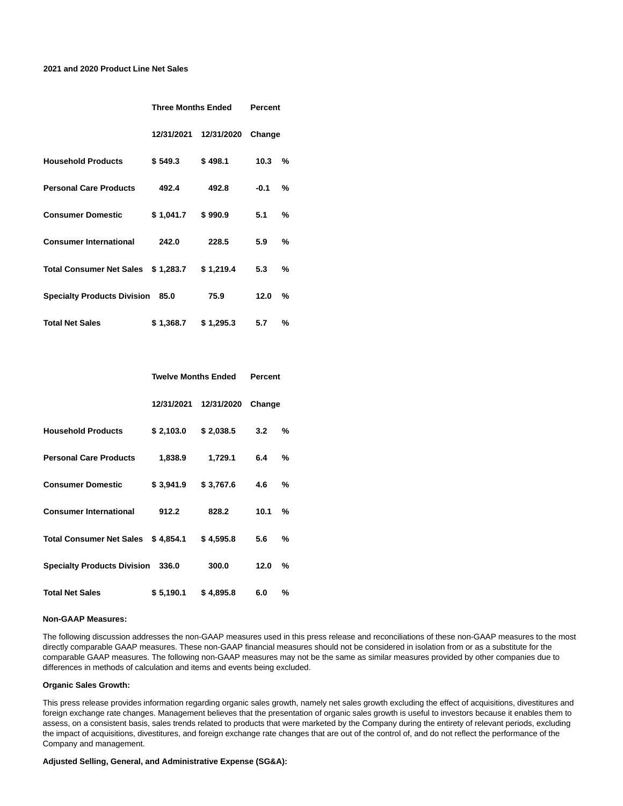## **2021 and 2020 Product Line Net Sales**

|                                    | <b>Three Months Ended</b> |            | Percent |   |  |
|------------------------------------|---------------------------|------------|---------|---|--|
|                                    | 12/31/2021                | 12/31/2020 | Change  |   |  |
| <b>Household Products</b>          | \$549.3                   | \$498.1    | 10.3    | % |  |
| <b>Personal Care Products</b>      | 492.4                     | 492.8      | $-0.1$  | % |  |
| <b>Consumer Domestic</b>           | \$1,041.7                 | \$990.9    | 5.1     | % |  |
| <b>Consumer International</b>      | 242.0                     | 228.5      | 5.9     | % |  |
| Total Consumer Net Sales \$1,283.7 |                           | \$1,219.4  | 5.3     | % |  |
| <b>Specialty Products Division</b> | 85.0                      | 75.9       | 12.0    | % |  |
| <b>Total Net Sales</b>             | \$1,368.7                 | \$1,295.3  | 5.7     | % |  |

|                                    | <b>Twelve Months Ended</b> |            | Percent          |   |  |
|------------------------------------|----------------------------|------------|------------------|---|--|
|                                    | 12/31/2021                 | 12/31/2020 | Change           |   |  |
| <b>Household Products</b>          | \$2,103.0                  | \$2,038.5  | 3.2 <sub>2</sub> | % |  |
| <b>Personal Care Products</b>      | 1,838.9                    | 1,729.1    | 6.4              | % |  |
| <b>Consumer Domestic</b>           | \$3,941.9                  | \$3,767.6  | 4.6              | % |  |
| <b>Consumer International</b>      | 912.2                      | 828.2      | 10.1             | % |  |
| <b>Total Consumer Net Sales</b>    | \$4.854.1                  | \$4,595.8  | 5.6              | % |  |
| <b>Specialty Products Division</b> | 336.0                      | 300.0      | 12.0             | % |  |
| <b>Total Net Sales</b>             | \$5,190.1                  | \$4,895.8  | 6.0              | % |  |

## **Non-GAAP Measures:**

The following discussion addresses the non-GAAP measures used in this press release and reconciliations of these non-GAAP measures to the most directly comparable GAAP measures. These non-GAAP financial measures should not be considered in isolation from or as a substitute for the comparable GAAP measures. The following non-GAAP measures may not be the same as similar measures provided by other companies due to differences in methods of calculation and items and events being excluded.

#### **Organic Sales Growth:**

This press release provides information regarding organic sales growth, namely net sales growth excluding the effect of acquisitions, divestitures and foreign exchange rate changes. Management believes that the presentation of organic sales growth is useful to investors because it enables them to assess, on a consistent basis, sales trends related to products that were marketed by the Company during the entirety of relevant periods, excluding the impact of acquisitions, divestitures, and foreign exchange rate changes that are out of the control of, and do not reflect the performance of the Company and management.

## **Adjusted Selling, General, and Administrative Expense (SG&A):**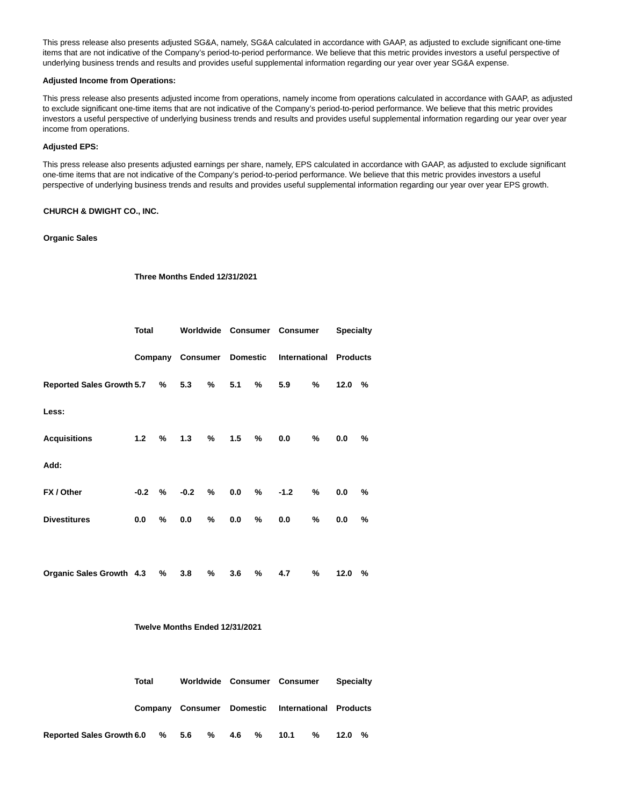This press release also presents adjusted SG&A, namely, SG&A calculated in accordance with GAAP, as adjusted to exclude significant one-time items that are not indicative of the Company's period-to-period performance. We believe that this metric provides investors a useful perspective of underlying business trends and results and provides useful supplemental information regarding our year over year SG&A expense.

#### **Adjusted Income from Operations:**

This press release also presents adjusted income from operations, namely income from operations calculated in accordance with GAAP, as adjusted to exclude significant one-time items that are not indicative of the Company's period-to-period performance. We believe that this metric provides investors a useful perspective of underlying business trends and results and provides useful supplemental information regarding our year over year income from operations.

## **Adjusted EPS:**

This press release also presents adjusted earnings per share, namely, EPS calculated in accordance with GAAP, as adjusted to exclude significant one-time items that are not indicative of the Company's period-to-period performance. We believe that this metric provides investors a useful perspective of underlying business trends and results and provides useful supplemental information regarding our year over year EPS growth.

### **CHURCH & DWIGHT CO., INC.**

#### **Organic Sales**

#### **Three Months Ended 12/31/2021**

|                                  | Total  |   |        |   |                           |      | Worldwide Consumer Consumer |   | <b>Specialty</b> |   |
|----------------------------------|--------|---|--------|---|---------------------------|------|-----------------------------|---|------------------|---|
|                                  |        |   |        |   | Company Consumer Domestic |      | International               |   | <b>Products</b>  |   |
| <b>Reported Sales Growth 5.7</b> |        | % | 5.3    | % | 5.1                       | %    | 5.9                         | % | 12.0             | % |
| Less:                            |        |   |        |   |                           |      |                             |   |                  |   |
| <b>Acquisitions</b>              | 1.2    | % | 1.3    | % | 1.5                       | %    | 0.0                         | % | 0.0              | % |
| Add:                             |        |   |        |   |                           |      |                             |   |                  |   |
| FX / Other                       | $-0.2$ | % | $-0.2$ | % | 0.0                       | %    | $-1.2$                      | % | 0.0              | % |
| <b>Divestitures</b>              | 0.0    | % | 0.0    | % | 0.0                       | $\%$ | 0.0                         | ℅ | 0.0              | % |
|                                  |        |   |        |   |                           |      |                             |   |                  |   |
| Organic Sales Growth 4.3         |        | % | 3.8    | % | 3.6                       | %    | 4.7                         | % | 12.0             | % |

## **Twelve Months Ended 12/31/2021**

| Total                            |       |   |     |   | Worldwide Consumer Consumer                      | <b>Specialty</b> |      |   |
|----------------------------------|-------|---|-----|---|--------------------------------------------------|------------------|------|---|
|                                  |       |   |     |   | Company Consumer Domestic International Products |                  |      |   |
| <b>Reported Sales Growth 6.0</b> | % 5.6 | % | 4.6 | % | 10.1                                             | %                | 12.0 | % |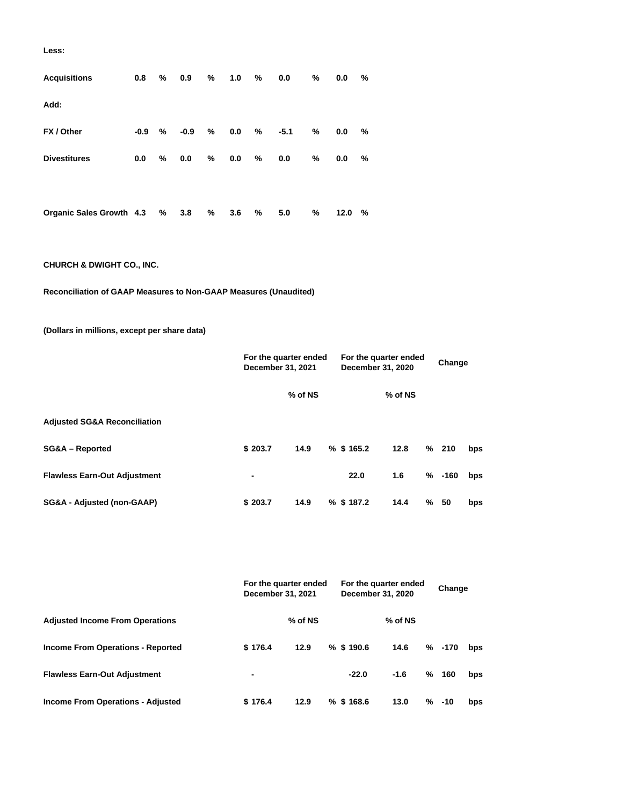## **Less:**

| <b>Acquisitions</b>      | 0.8    | % | 0.9    | % | 1.0 | % | 0.0    | % | 0.0  | % |
|--------------------------|--------|---|--------|---|-----|---|--------|---|------|---|
| Add:                     |        |   |        |   |     |   |        |   |      |   |
| FX / Other               | $-0.9$ | % | $-0.9$ | % | 0.0 | % | $-5.1$ | % | 0.0  | % |
| <b>Divestitures</b>      | 0.0    | % | 0.0    | % | 0.0 | % | 0.0    | % | 0.0  | % |
|                          |        |   |        |   |     |   |        |   |      |   |
| Organic Sales Growth 4.3 |        | % | 3.8    | % | 3.6 | % | 5.0    | % | 12.0 | % |

## **CHURCH & DWIGHT CO., INC.**

**Reconciliation of GAAP Measures to Non-GAAP Measures (Unaudited)**

## **(Dollars in millions, except per share data)**

|                                         | For the quarter ended<br>December 31, 2021 |         |  | For the quarter ended<br>December 31, 2020 |           |   | Change |     |
|-----------------------------------------|--------------------------------------------|---------|--|--------------------------------------------|-----------|---|--------|-----|
|                                         |                                            | % of NS |  |                                            | $%$ of NS |   |        |     |
| <b>Adjusted SG&amp;A Reconciliation</b> |                                            |         |  |                                            |           |   |        |     |
| <b>SG&amp;A</b> – Reported              | \$203.7                                    | 14.9    |  | % \$165.2                                  | 12.8      |   | % 210  | bps |
| <b>Flawless Earn-Out Adjustment</b>     | ۰                                          |         |  | 22.0                                       | 1.6       | % | $-160$ | bps |
| SG&A - Adjusted (non-GAAP)              | \$203.7                                    | 14.9    |  | % \$187.2                                  | 14.4      | % | 50     | bps |

| <b>Adjusted Income From Operations</b>   | For the quarter ended<br>December 31, 2021 |           | For the quarter ended<br>December 31, 2020 |         |             | Change |  |
|------------------------------------------|--------------------------------------------|-----------|--------------------------------------------|---------|-------------|--------|--|
|                                          |                                            | $%$ of NS |                                            | % of NS |             |        |  |
| <b>Income From Operations - Reported</b> | \$176.4                                    | 12.9      | $%$ \$190.6                                | 14.6    | %<br>$-170$ | bps    |  |
| <b>Flawless Earn-Out Adjustment</b>      | ۰                                          |           | $-22.0$                                    | $-1.6$  | %<br>160    | bps    |  |
| Income From Operations - Adjusted        | \$176.4                                    | 12.9      | % \$168.6                                  | 13.0    | %<br>-10    | bps    |  |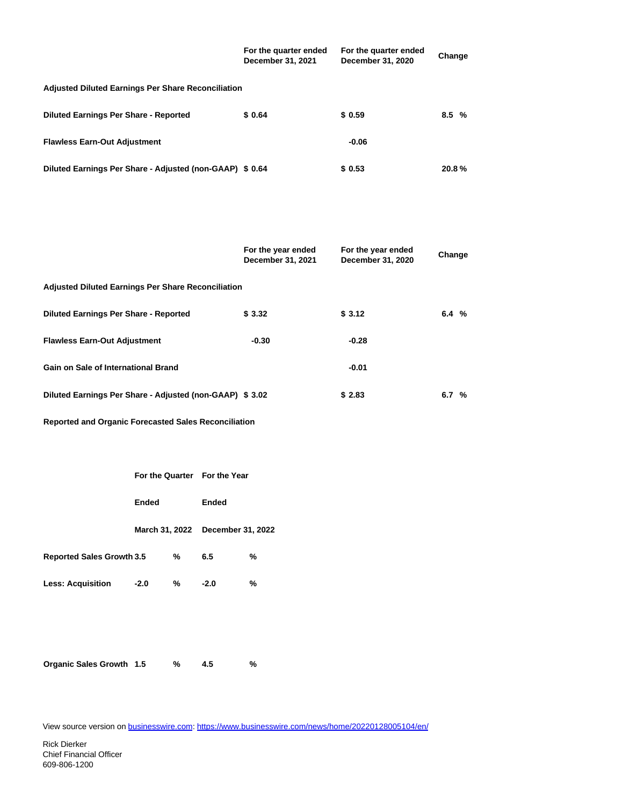|                                                          | For the quarter ended<br>December 31, 2021 | For the quarter ended<br>December 31, 2020 | Change |
|----------------------------------------------------------|--------------------------------------------|--------------------------------------------|--------|
| Adjusted Diluted Earnings Per Share Reconciliation       |                                            |                                            |        |
| <b>Diluted Earnings Per Share - Reported</b>             | \$0.64                                     | \$0.59                                     | 8.5%   |
| <b>Flawless Earn-Out Adjustment</b>                      |                                            | $-0.06$                                    |        |
| Diluted Earnings Per Share - Adjusted (non-GAAP) \$ 0.64 |                                            | \$0.53                                     | 20.8%  |

|                                                           | For the year ended<br>December 31, 2021 | For the year ended<br>December 31, 2020 | Change  |
|-----------------------------------------------------------|-----------------------------------------|-----------------------------------------|---------|
| <b>Adjusted Diluted Earnings Per Share Reconciliation</b> |                                         |                                         |         |
| <b>Diluted Earnings Per Share - Reported</b>              | \$3.32                                  | \$3.12                                  | 6.4 $%$ |
| <b>Flawless Earn-Out Adjustment</b>                       | $-0.30$                                 | $-0.28$                                 |         |
| Gain on Sale of International Brand                       |                                         | $-0.01$                                 |         |
| Diluted Earnings Per Share - Adjusted (non-GAAP) \$3.02   |                                         | \$2.83                                  | 6.7 $%$ |

**Reported and Organic Forecasted Sales Reconciliation**

|                                  | For the Quarter For the Year |   |                                  |   |
|----------------------------------|------------------------------|---|----------------------------------|---|
|                                  | <b>Ended</b>                 |   | Ended                            |   |
|                                  |                              |   | March 31, 2022 December 31, 2022 |   |
| <b>Reported Sales Growth 3.5</b> |                              | % | 6.5                              | % |
| <b>Less: Acquisition</b>         | -2.0                         | ℅ | -2.0                             | % |

**Organic Sales Growth 1.5 % 4.5 %**

View source version on [businesswire.com:](http://businesswire.com/)<https://www.businesswire.com/news/home/20220128005104/en/>